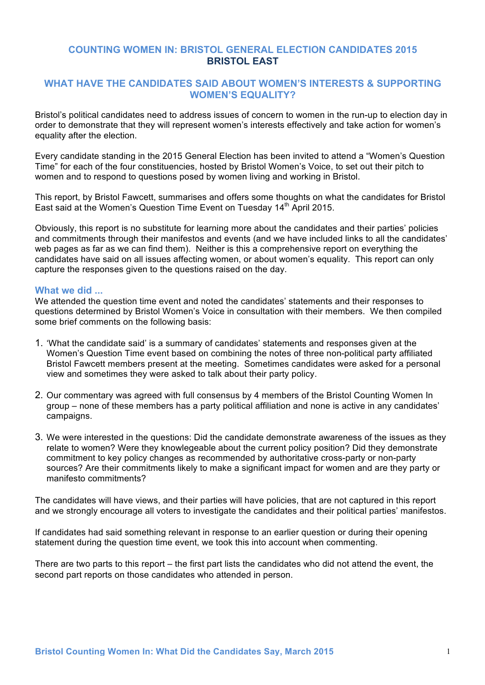### **COUNTING WOMEN IN: BRISTOL GENERAL ELECTION CANDIDATES 2015 BRISTOL EAST**

## **WHAT HAVE THE CANDIDATES SAID ABOUT WOMEN'S INTERESTS & SUPPORTING WOMEN'S EQUALITY?**

Bristol's political candidates need to address issues of concern to women in the run-up to election day in order to demonstrate that they will represent women's interests effectively and take action for women's equality after the election.

Every candidate standing in the 2015 General Election has been invited to attend a "Women's Question Time" for each of the four constituencies, hosted by Bristol Women's Voice, to set out their pitch to women and to respond to questions posed by women living and working in Bristol.

This report, by Bristol Fawcett, summarises and offers some thoughts on what the candidates for Bristol East said at the Women's Question Time Event on Tuesday 14<sup>th</sup> April 2015.

Obviously, this report is no substitute for learning more about the candidates and their parties' policies and commitments through their manifestos and events (and we have included links to all the candidates' web pages as far as we can find them). Neither is this a comprehensive report on everything the candidates have said on all issues affecting women, or about women's equality. This report can only capture the responses given to the questions raised on the day.

#### **What we did ...**

We attended the question time event and noted the candidates' statements and their responses to questions determined by Bristol Women's Voice in consultation with their members. We then compiled some brief comments on the following basis:

- 1. 'What the candidate said' is a summary of candidates' statements and responses given at the Women's Question Time event based on combining the notes of three non-political party affiliated Bristol Fawcett members present at the meeting. Sometimes candidates were asked for a personal view and sometimes they were asked to talk about their party policy.
- 2. Our commentary was agreed with full consensus by 4 members of the Bristol Counting Women In group – none of these members has a party political affiliation and none is active in any candidates' campaigns.
- 3. We were interested in the questions: Did the candidate demonstrate awareness of the issues as they relate to women? Were they knowlegeable about the current policy position? Did they demonstrate commitment to key policy changes as recommended by authoritative cross-party or non-party sources? Are their commitments likely to make a significant impact for women and are they party or manifesto commitments?

The candidates will have views, and their parties will have policies, that are not captured in this report and we strongly encourage all voters to investigate the candidates and their political parties' manifestos.

If candidates had said something relevant in response to an earlier question or during their opening statement during the question time event, we took this into account when commenting.

There are two parts to this report – the first part lists the candidates who did not attend the event, the second part reports on those candidates who attended in person.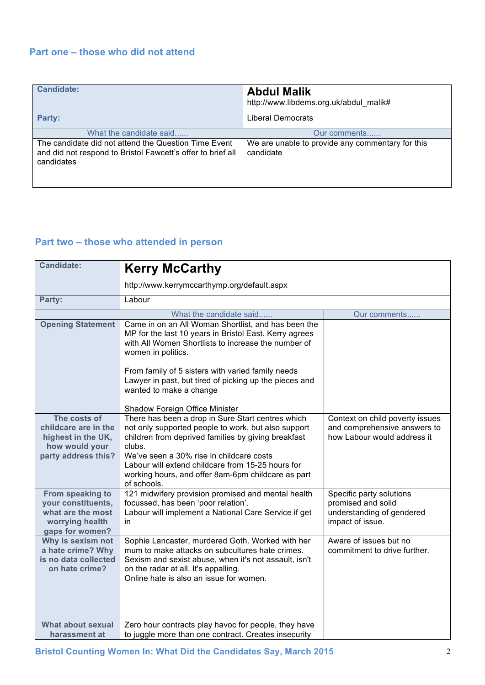## **Part one – those who did not attend**

| <b>Candidate:</b>                                                                                                                 | <b>Abdul Malik</b><br>http://www.libdems.org.uk/abdul_malik#  |
|-----------------------------------------------------------------------------------------------------------------------------------|---------------------------------------------------------------|
| Party:                                                                                                                            | Liberal Democrats                                             |
| What the candidate said                                                                                                           | Our comments                                                  |
| The candidate did not attend the Question Time Event<br>and did not respond to Bristol Fawcett's offer to brief all<br>candidates | We are unable to provide any commentary for this<br>candidate |

# **Part two – those who attended in person**

| <b>Candidate:</b>                                                                                 |                                                                                                                                                                                                                                                                                                                                      |                                                                                                 |
|---------------------------------------------------------------------------------------------------|--------------------------------------------------------------------------------------------------------------------------------------------------------------------------------------------------------------------------------------------------------------------------------------------------------------------------------------|-------------------------------------------------------------------------------------------------|
|                                                                                                   | <b>Kerry McCarthy</b>                                                                                                                                                                                                                                                                                                                |                                                                                                 |
|                                                                                                   | http://www.kerrymccarthymp.org/default.aspx                                                                                                                                                                                                                                                                                          |                                                                                                 |
| Party:                                                                                            | Labour                                                                                                                                                                                                                                                                                                                               |                                                                                                 |
|                                                                                                   | What the candidate said                                                                                                                                                                                                                                                                                                              | Our comments                                                                                    |
| <b>Opening Statement</b>                                                                          | Came in on an All Woman Shortlist, and has been the<br>MP for the last 10 years in Bristol East. Kerry agrees<br>with All Women Shortlists to increase the number of<br>women in politics.<br>From family of 5 sisters with varied family needs<br>Lawyer in past, but tired of picking up the pieces and<br>wanted to make a change |                                                                                                 |
| The costs of                                                                                      | Shadow Foreign Office Minister<br>There has been a drop in Sure Start centres which                                                                                                                                                                                                                                                  | Context on child poverty issues                                                                 |
| childcare are in the<br>highest in the UK,<br>how would your<br>party address this?               | not only supported people to work, but also support<br>children from deprived families by giving breakfast<br>clubs.<br>We've seen a 30% rise in childcare costs<br>Labour will extend childcare from 15-25 hours for<br>working hours, and offer 8am-6pm childcare as part<br>of schools.                                           | and comprehensive answers to<br>how Labour would address it                                     |
| From speaking to<br>your constituents,<br>what are the most<br>worrying health<br>gaps for women? | 121 midwifery provision promised and mental health<br>focussed, has been 'poor relation'.<br>Labour will implement a National Care Service if get<br>in                                                                                                                                                                              | Specific party solutions<br>promised and solid<br>understanding of gendered<br>impact of issue. |
| Why is sexism not<br>a hate crime? Why<br>is no data collected<br>on hate crime?                  | Sophie Lancaster, murdered Goth. Worked with her<br>mum to make attacks on subcultures hate crimes.<br>Sexism and sexist abuse, when it's not assault, isn't<br>on the radar at all. It's appalling.<br>Online hate is also an issue for women.                                                                                      | Aware of issues but no<br>commitment to drive further.                                          |
| What about sexual<br>harassment at                                                                | Zero hour contracts play havoc for people, they have<br>to juggle more than one contract. Creates insecurity                                                                                                                                                                                                                         |                                                                                                 |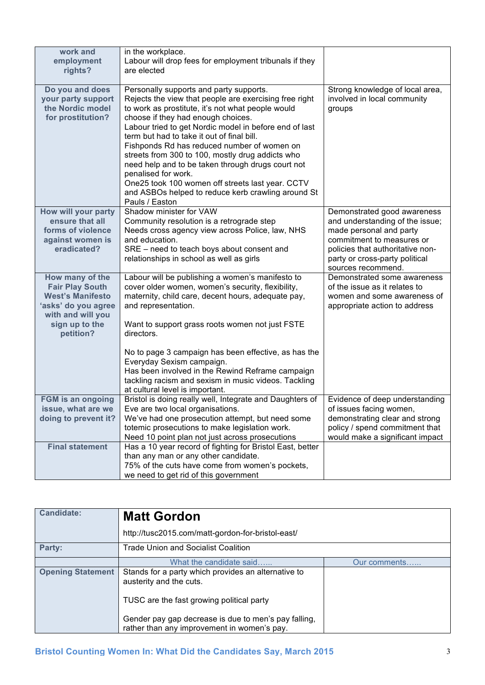| work and<br>employment<br>rights?                                              | in the workplace.<br>Labour will drop fees for employment tribunals if they<br>are elected                                                                                                                                                                                                                                                                                                                                                                                                                                                                                                                      |                                                                          |
|--------------------------------------------------------------------------------|-----------------------------------------------------------------------------------------------------------------------------------------------------------------------------------------------------------------------------------------------------------------------------------------------------------------------------------------------------------------------------------------------------------------------------------------------------------------------------------------------------------------------------------------------------------------------------------------------------------------|--------------------------------------------------------------------------|
|                                                                                |                                                                                                                                                                                                                                                                                                                                                                                                                                                                                                                                                                                                                 |                                                                          |
| Do you and does<br>your party support<br>the Nordic model<br>for prostitution? | Personally supports and party supports.<br>Rejects the view that people are exercising free right<br>to work as prostitute, it's not what people would<br>choose if they had enough choices.<br>Labour tried to get Nordic model in before end of last<br>term but had to take it out of final bill.<br>Fishponds Rd has reduced number of women on<br>streets from 300 to 100, mostly drug addicts who<br>need help and to be taken through drugs court not<br>penalised for work.<br>One25 took 100 women off streets last year. CCTV<br>and ASBOs helped to reduce kerb crawling around St<br>Pauls / Easton | Strong knowledge of local area,<br>involved in local community<br>groups |
| How will your party                                                            | Shadow minister for VAW                                                                                                                                                                                                                                                                                                                                                                                                                                                                                                                                                                                         | Demonstrated good awareness                                              |
| ensure that all<br>forms of violence                                           | Community resolution is a retrograde step<br>Needs cross agency view across Police, law, NHS                                                                                                                                                                                                                                                                                                                                                                                                                                                                                                                    | and understanding of the issue;<br>made personal and party               |
| against women is                                                               | and education.                                                                                                                                                                                                                                                                                                                                                                                                                                                                                                                                                                                                  | commitment to measures or                                                |
| eradicated?                                                                    | SRE - need to teach boys about consent and                                                                                                                                                                                                                                                                                                                                                                                                                                                                                                                                                                      | policies that authoritative non-                                         |
|                                                                                | relationships in school as well as girls                                                                                                                                                                                                                                                                                                                                                                                                                                                                                                                                                                        | party or cross-party political<br>sources recommend.                     |
| How many of the                                                                | Labour will be publishing a women's manifesto to                                                                                                                                                                                                                                                                                                                                                                                                                                                                                                                                                                | Demonstrated some awareness                                              |
| <b>Fair Play South</b>                                                         | cover older women, women's security, flexibility,                                                                                                                                                                                                                                                                                                                                                                                                                                                                                                                                                               | of the issue as it relates to                                            |
| <b>West's Manifesto</b>                                                        | maternity, child care, decent hours, adequate pay,                                                                                                                                                                                                                                                                                                                                                                                                                                                                                                                                                              | women and some awareness of                                              |
| 'asks' do you agree<br>with and will you                                       | and representation.                                                                                                                                                                                                                                                                                                                                                                                                                                                                                                                                                                                             | appropriate action to address                                            |
| sign up to the                                                                 | Want to support grass roots women not just FSTE                                                                                                                                                                                                                                                                                                                                                                                                                                                                                                                                                                 |                                                                          |
| petition?                                                                      | directors.                                                                                                                                                                                                                                                                                                                                                                                                                                                                                                                                                                                                      |                                                                          |
|                                                                                | No to page 3 campaign has been effective, as has the                                                                                                                                                                                                                                                                                                                                                                                                                                                                                                                                                            |                                                                          |
|                                                                                | Everyday Sexism campaign.                                                                                                                                                                                                                                                                                                                                                                                                                                                                                                                                                                                       |                                                                          |
|                                                                                | Has been involved in the Rewind Reframe campaign                                                                                                                                                                                                                                                                                                                                                                                                                                                                                                                                                                |                                                                          |
|                                                                                | tackling racism and sexism in music videos. Tackling<br>at cultural level is important.                                                                                                                                                                                                                                                                                                                                                                                                                                                                                                                         |                                                                          |
| <b>FGM is an ongoing</b>                                                       | Bristol is doing really well, Integrate and Daughters of                                                                                                                                                                                                                                                                                                                                                                                                                                                                                                                                                        | Evidence of deep understanding                                           |
| issue, what are we                                                             | Eve are two local organisations.                                                                                                                                                                                                                                                                                                                                                                                                                                                                                                                                                                                | of issues facing women,                                                  |
| doing to prevent it?                                                           | We've had one prosecution attempt, but need some<br>totemic prosecutions to make legislation work.                                                                                                                                                                                                                                                                                                                                                                                                                                                                                                              | demonstrating clear and strong<br>policy / spend commitment that         |
|                                                                                | Need 10 point plan not just across prosecutions                                                                                                                                                                                                                                                                                                                                                                                                                                                                                                                                                                 | would make a significant impact                                          |
| <b>Final statement</b>                                                         | Has a 10 year record of fighting for Bristol East, better                                                                                                                                                                                                                                                                                                                                                                                                                                                                                                                                                       |                                                                          |
|                                                                                | than any man or any other candidate.                                                                                                                                                                                                                                                                                                                                                                                                                                                                                                                                                                            |                                                                          |
|                                                                                | 75% of the cuts have come from women's pockets,                                                                                                                                                                                                                                                                                                                                                                                                                                                                                                                                                                 |                                                                          |
|                                                                                | we need to get rid of this government                                                                                                                                                                                                                                                                                                                                                                                                                                                                                                                                                                           |                                                                          |

| <b>Candidate:</b>        | <b>Matt Gordon</b>                                                                                  |              |
|--------------------------|-----------------------------------------------------------------------------------------------------|--------------|
|                          | http://tusc2015.com/matt-gordon-for-bristol-east/                                                   |              |
| Party:                   | <b>Trade Union and Socialist Coalition</b>                                                          |              |
|                          | What the candidate said                                                                             | Our comments |
| <b>Opening Statement</b> | Stands for a party which provides an alternative to<br>austerity and the cuts.                      |              |
|                          | TUSC are the fast growing political party                                                           |              |
|                          | Gender pay gap decrease is due to men's pay falling,<br>rather than any improvement in women's pay. |              |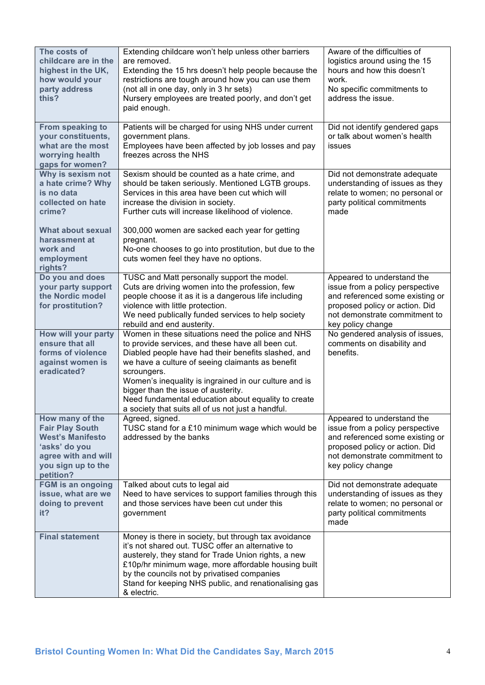| The costs of<br>childcare are in the<br>highest in the UK,<br>how would your<br>party address<br>this?                                          | Extending childcare won't help unless other barriers<br>are removed.<br>Extending the 15 hrs doesn't help people because the<br>restrictions are tough around how you can use them<br>(not all in one day, only in 3 hr sets)<br>Nursery employees are treated poorly, and don't get<br>paid enough.                                                                                                                                          | Aware of the difficulties of<br>logistics around using the 15<br>hours and how this doesn't<br>work.<br>No specific commitments to<br>address the issue.                                 |
|-------------------------------------------------------------------------------------------------------------------------------------------------|-----------------------------------------------------------------------------------------------------------------------------------------------------------------------------------------------------------------------------------------------------------------------------------------------------------------------------------------------------------------------------------------------------------------------------------------------|------------------------------------------------------------------------------------------------------------------------------------------------------------------------------------------|
| From speaking to<br>your constituents,<br>what are the most<br>worrying health<br>gaps for women?                                               | Patients will be charged for using NHS under current<br>government plans.<br>Employees have been affected by job losses and pay<br>freezes across the NHS                                                                                                                                                                                                                                                                                     | Did not identify gendered gaps<br>or talk about women's health<br>issues                                                                                                                 |
| Why is sexism not<br>a hate crime? Why<br>is no data<br>collected on hate<br>crime?                                                             | Sexism should be counted as a hate crime, and<br>should be taken seriously. Mentioned LGTB groups.<br>Services in this area have been cut which will<br>increase the division in society.<br>Further cuts will increase likelihood of violence.                                                                                                                                                                                               | Did not demonstrate adequate<br>understanding of issues as they<br>relate to women; no personal or<br>party political commitments<br>made                                                |
| What about sexual<br>harassment at<br>work and<br>employment<br>rights?                                                                         | 300,000 women are sacked each year for getting<br>pregnant.<br>No-one chooses to go into prostitution, but due to the<br>cuts women feel they have no options.                                                                                                                                                                                                                                                                                |                                                                                                                                                                                          |
| Do you and does<br>your party support<br>the Nordic model<br>for prostitution?                                                                  | TUSC and Matt personally support the model.<br>Cuts are driving women into the profession, few<br>people choose it as it is a dangerous life including<br>violence with little protection.<br>We need publically funded services to help society<br>rebuild and end austerity.                                                                                                                                                                | Appeared to understand the<br>issue from a policy perspective<br>and referenced some existing or<br>proposed policy or action. Did<br>not demonstrate commitment to<br>key policy change |
| How will your party<br>ensure that all<br>forms of violence<br>against women is<br>eradicated?                                                  | Women in these situations need the police and NHS<br>to provide services, and these have all been cut.<br>Diabled people have had their benefits slashed, and<br>we have a culture of seeing claimants as benefit<br>scroungers.<br>Women's inequality is ingrained in our culture and is<br>bigger than the issue of austerity.<br>Need fundamental education about equality to create<br>a society that suits all of us not just a handful. | No gendered analysis of issues,<br>comments on disability and<br>benefits.                                                                                                               |
| How many of the<br><b>Fair Play South</b><br><b>West's Manifesto</b><br>'asks' do you<br>agree with and will<br>you sign up to the<br>petition? | Agreed, signed.<br>TUSC stand for a £10 minimum wage which would be<br>addressed by the banks                                                                                                                                                                                                                                                                                                                                                 | Appeared to understand the<br>issue from a policy perspective<br>and referenced some existing or<br>proposed policy or action. Did<br>not demonstrate commitment to<br>key policy change |
| <b>FGM is an ongoing</b><br>issue, what are we<br>doing to prevent<br>it?                                                                       | Talked about cuts to legal aid<br>Need to have services to support families through this<br>and those services have been cut under this<br>government                                                                                                                                                                                                                                                                                         | Did not demonstrate adequate<br>understanding of issues as they<br>relate to women; no personal or<br>party political commitments<br>made                                                |
| <b>Final statement</b>                                                                                                                          | Money is there in society, but through tax avoidance<br>it's not shared out. TUSC offer an alternative to<br>austerely, they stand for Trade Union rights, a new<br>£10p/hr minimum wage, more affordable housing built<br>by the councils not by privatised companies<br>Stand for keeping NHS public, and renationalising gas<br>& electric.                                                                                                |                                                                                                                                                                                          |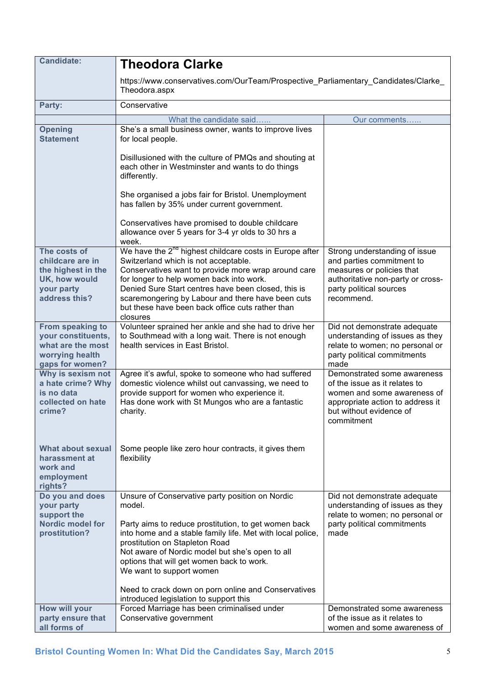| <b>Candidate:</b>                                                                                      | <b>Theodora Clarke</b>                                                                                                                                                                                                                                                                                                                                                                                                                         |                                                                                                                                                                          |  |
|--------------------------------------------------------------------------------------------------------|------------------------------------------------------------------------------------------------------------------------------------------------------------------------------------------------------------------------------------------------------------------------------------------------------------------------------------------------------------------------------------------------------------------------------------------------|--------------------------------------------------------------------------------------------------------------------------------------------------------------------------|--|
|                                                                                                        | https://www.conservatives.com/OurTeam/Prospective_Parliamentary_Candidates/Clarke_<br>Theodora.aspx                                                                                                                                                                                                                                                                                                                                            |                                                                                                                                                                          |  |
| Party:                                                                                                 | Conservative                                                                                                                                                                                                                                                                                                                                                                                                                                   |                                                                                                                                                                          |  |
|                                                                                                        | What the candidate said                                                                                                                                                                                                                                                                                                                                                                                                                        | Our comments                                                                                                                                                             |  |
| <b>Opening</b><br><b>Statement</b>                                                                     | She's a small business owner, wants to improve lives<br>for local people.                                                                                                                                                                                                                                                                                                                                                                      |                                                                                                                                                                          |  |
|                                                                                                        | Disillusioned with the culture of PMQs and shouting at<br>each other in Westminster and wants to do things<br>differently.                                                                                                                                                                                                                                                                                                                     |                                                                                                                                                                          |  |
|                                                                                                        | She organised a jobs fair for Bristol. Unemployment<br>has fallen by 35% under current government.                                                                                                                                                                                                                                                                                                                                             |                                                                                                                                                                          |  |
|                                                                                                        | Conservatives have promised to double childcare<br>allowance over 5 years for 3-4 yr olds to 30 hrs a<br>week.                                                                                                                                                                                                                                                                                                                                 |                                                                                                                                                                          |  |
| The costs of<br>childcare are in<br>the highest in the<br>UK, how would<br>your party<br>address this? | We have the $2^{nd}$ highest childcare costs in Europe after<br>Switzerland which is not acceptable.<br>Conservatives want to provide more wrap around care<br>for longer to help women back into work.<br>Denied Sure Start centres have been closed, this is<br>scaremongering by Labour and there have been cuts<br>but these have been back office cuts rather than<br>closures                                                            | Strong understanding of issue<br>and parties commitment to<br>measures or policies that<br>authoritative non-party or cross-<br>party political sources<br>recommend.    |  |
| From speaking to<br>your constituents,<br>what are the most<br>worrying health<br>gaps for women?      | Volunteer sprained her ankle and she had to drive her<br>to Southmead with a long wait. There is not enough<br>health services in East Bristol.                                                                                                                                                                                                                                                                                                | Did not demonstrate adequate<br>understanding of issues as they<br>relate to women; no personal or<br>party political commitments<br>made                                |  |
| Why is sexism not<br>a hate crime? Why<br>is no data<br>collected on hate<br>crime?                    | Agree it's awful, spoke to someone who had suffered<br>domestic violence whilst out canvassing, we need to<br>provide support for women who experience it.<br>Has done work with St Mungos who are a fantastic<br>charity.                                                                                                                                                                                                                     | Demonstrated some awareness<br>of the issue as it relates to<br>women and some awareness of<br>appropriate action to address it<br>but without evidence of<br>commitment |  |
| <b>What about sexual</b><br>harassment at<br>work and<br>employment<br>rights?                         | Some people like zero hour contracts, it gives them<br>flexibility                                                                                                                                                                                                                                                                                                                                                                             |                                                                                                                                                                          |  |
| Do you and does<br>your party<br>support the<br><b>Nordic model for</b><br>prostitution?               | Unsure of Conservative party position on Nordic<br>model.<br>Party aims to reduce prostitution, to get women back<br>into home and a stable family life. Met with local police,<br>prostitution on Stapleton Road<br>Not aware of Nordic model but she's open to all<br>options that will get women back to work.<br>We want to support women<br>Need to crack down on porn online and Conservatives<br>introduced legislation to support this | Did not demonstrate adequate<br>understanding of issues as they<br>relate to women; no personal or<br>party political commitments<br>made                                |  |
| How will your<br>party ensure that<br>all forms of                                                     | Forced Marriage has been criminalised under<br>Conservative government                                                                                                                                                                                                                                                                                                                                                                         | Demonstrated some awareness<br>of the issue as it relates to<br>women and some awareness of                                                                              |  |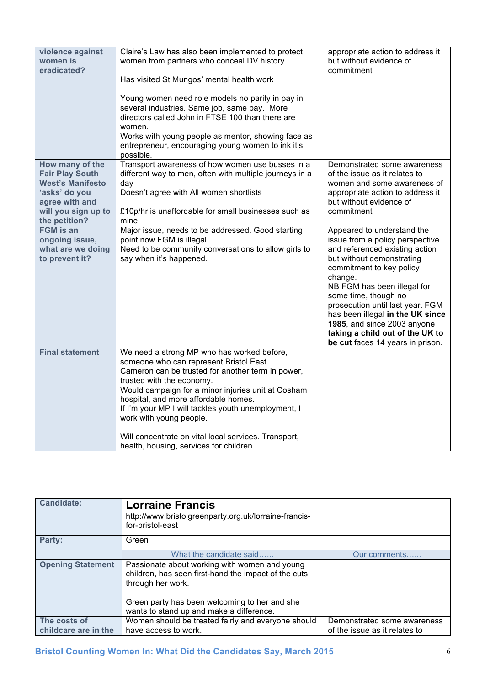| violence against<br>women is<br>eradicated?                                                                                              | Claire's Law has also been implemented to protect<br>women from partners who conceal DV history<br>Has visited St Mungos' mental health work<br>Young women need role models no parity in pay in<br>several industries. Same job, same pay. More<br>directors called John in FTSE 100 than there are<br>women.<br>Works with young people as mentor, showing face as<br>entrepreneur, encouraging young women to ink it's<br>possible.                    | appropriate action to address it<br>but without evidence of<br>commitment                                                                                                                                                                                                                                                                                                                                |
|------------------------------------------------------------------------------------------------------------------------------------------|-----------------------------------------------------------------------------------------------------------------------------------------------------------------------------------------------------------------------------------------------------------------------------------------------------------------------------------------------------------------------------------------------------------------------------------------------------------|----------------------------------------------------------------------------------------------------------------------------------------------------------------------------------------------------------------------------------------------------------------------------------------------------------------------------------------------------------------------------------------------------------|
| How many of the<br><b>Fair Play South</b><br>West's Manifesto<br>'asks' do you<br>agree with and<br>will you sign up to<br>the petition? | Transport awareness of how women use busses in a<br>different way to men, often with multiple journeys in a<br>day<br>Doesn't agree with All women shortlists<br>£10p/hr is unaffordable for small businesses such as<br>mine                                                                                                                                                                                                                             | Demonstrated some awareness<br>of the issue as it relates to<br>women and some awareness of<br>appropriate action to address it<br>but without evidence of<br>commitment                                                                                                                                                                                                                                 |
| <b>FGM</b> is an<br>ongoing issue,<br>what are we doing<br>to prevent it?                                                                | Major issue, needs to be addressed. Good starting<br>point now FGM is illegal<br>Need to be community conversations to allow girls to<br>say when it's happened.                                                                                                                                                                                                                                                                                          | Appeared to understand the<br>issue from a policy perspective<br>and referenced existing action<br>but without demonstrating<br>commitment to key policy<br>change.<br>NB FGM has been illegal for<br>some time, though no<br>prosecution until last year. FGM<br>has been illegal in the UK since<br>1985, and since 2003 anyone<br>taking a child out of the UK to<br>be cut faces 14 years in prison. |
| <b>Final statement</b>                                                                                                                   | We need a strong MP who has worked before,<br>someone who can represent Bristol East.<br>Cameron can be trusted for another term in power,<br>trusted with the economy.<br>Would campaign for a minor injuries unit at Cosham<br>hospital, and more affordable homes.<br>If I'm your MP I will tackles youth unemployment, I<br>work with young people.<br>Will concentrate on vital local services. Transport,<br>health, housing, services for children |                                                                                                                                                                                                                                                                                                                                                                                                          |

| <b>Candidate:</b>        | <b>Lorraine Francis</b><br>http://www.bristolgreenparty.org.uk/lorraine-francis-<br>for-bristol-east                                                                                                                    |                               |
|--------------------------|-------------------------------------------------------------------------------------------------------------------------------------------------------------------------------------------------------------------------|-------------------------------|
| Party:                   | Green                                                                                                                                                                                                                   |                               |
|                          | What the candidate said                                                                                                                                                                                                 | Our comments                  |
| <b>Opening Statement</b> | Passionate about working with women and young<br>children, has seen first-hand the impact of the cuts<br>through her work.<br>Green party has been welcoming to her and she<br>wants to stand up and make a difference. |                               |
| The costs of             | Women should be treated fairly and everyone should                                                                                                                                                                      | Demonstrated some awareness   |
| childcare are in the     | have access to work.                                                                                                                                                                                                    | of the issue as it relates to |